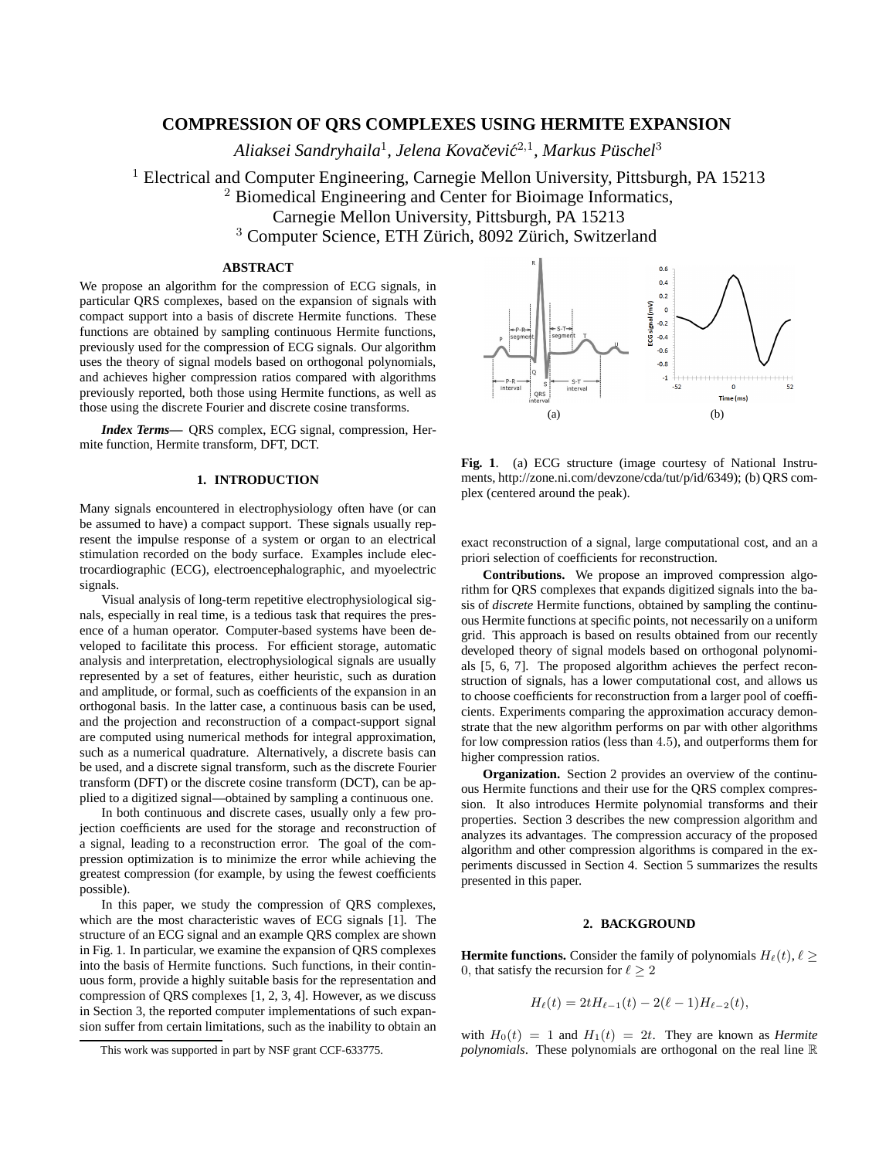# **COMPRESSION OF QRS COMPLEXES USING HERMITE EXPANSION**

*Aliaksei Sandryhaila*<sup>1</sup> *, Jelena Kovacevi ˇ c´* 2,1 *, Markus Puschel ¨* 3

<sup>1</sup> Electrical and Computer Engineering, Carnegie Mellon University, Pittsburgh, PA 15213 <sup>2</sup> Biomedical Engineering and Center for Bioimage Informatics, Carnegie Mellon University, Pittsburgh, PA 15213 <sup>3</sup> Computer Science, ETH Zürich, 8092 Zürich, Switzerland

# **ABSTRACT**

We propose an algorithm for the compression of ECG signals, in particular QRS complexes, based on the expansion of signals with compact support into a basis of discrete Hermite functions. These functions are obtained by sampling continuous Hermite functions, previously used for the compression of ECG signals. Our algorithm uses the theory of signal models based on orthogonal polynomials, and achieves higher compression ratios compared with algorithms previously reported, both those using Hermite functions, as well as those using the discrete Fourier and discrete cosine transforms.

*Index Terms***—** QRS complex, ECG signal, compression, Hermite function, Hermite transform, DFT, DCT.

## **1. INTRODUCTION**

Many signals encountered in electrophysiology often have (or can be assumed to have) a compact support. These signals usually represent the impulse response of a system or organ to an electrical stimulation recorded on the body surface. Examples include electrocardiographic (ECG), electroencephalographic, and myoelectric signals.

Visual analysis of long-term repetitive electrophysiological signals, especially in real time, is a tedious task that requires the presence of a human operator. Computer-based systems have been developed to facilitate this process. For efficient storage, automatic analysis and interpretation, electrophysiological signals are usually represented by a set of features, either heuristic, such as duration and amplitude, or formal, such as coefficients of the expansion in an orthogonal basis. In the latter case, a continuous basis can be used, and the projection and reconstruction of a compact-support signal are computed using numerical methods for integral approximation, such as a numerical quadrature. Alternatively, a discrete basis can be used, and a discrete signal transform, such as the discrete Fourier transform (DFT) or the discrete cosine transform (DCT), can be applied to a digitized signal—obtained by sampling a continuous one.

In both continuous and discrete cases, usually only a few projection coefficients are used for the storage and reconstruction of a signal, leading to a reconstruction error. The goal of the compression optimization is to minimize the error while achieving the greatest compression (for example, by using the fewest coefficients possible).

In this paper, we study the compression of QRS complexes, which are the most characteristic waves of ECG signals [1]. The structure of an ECG signal and an example QRS complex are shown in Fig. 1. In particular, we examine the expansion of QRS complexes into the basis of Hermite functions. Such functions, in their continuous form, provide a highly suitable basis for the representation and compression of QRS complexes [1, 2, 3, 4]. However, as we discuss in Section 3, the reported computer implementations of such expansion suffer from certain limitations, such as the inability to obtain an



**Fig. 1**. (a) ECG structure (image courtesy of National Instruments, http://zone.ni.com/devzone/cda/tut/p/id/6349); (b) QRS complex (centered around the peak).

exact reconstruction of a signal, large computational cost, and an a priori selection of coefficients for reconstruction.

**Contributions.** We propose an improved compression algorithm for QRS complexes that expands digitized signals into the basis of *discrete* Hermite functions, obtained by sampling the continuous Hermite functions at specific points, not necessarily on a uniform grid. This approach is based on results obtained from our recently developed theory of signal models based on orthogonal polynomials [5, 6, 7]. The proposed algorithm achieves the perfect reconstruction of signals, has a lower computational cost, and allows us to choose coefficients for reconstruction from a larger pool of coefficients. Experiments comparing the approximation accuracy demonstrate that the new algorithm performs on par with other algorithms for low compression ratios (less than 4.5), and outperforms them for higher compression ratios.

**Organization.** Section 2 provides an overview of the continuous Hermite functions and their use for the QRS complex compression. It also introduces Hermite polynomial transforms and their properties. Section 3 describes the new compression algorithm and analyzes its advantages. The compression accuracy of the proposed algorithm and other compression algorithms is compared in the experiments discussed in Section 4. Section 5 summarizes the results presented in this paper.

#### **2. BACKGROUND**

**Hermite functions.** Consider the family of polynomials  $H_{\ell}(t)$ ,  $\ell \geq$ 0, that satisfy the recursion for  $\ell \geq 2$ 

$$
H_{\ell}(t) = 2tH_{\ell-1}(t) - 2(\ell-1)H_{\ell-2}(t),
$$

with  $H_0(t) = 1$  and  $H_1(t) = 2t$ . They are known as *Hermite polynomials*. These polynomials are orthogonal on the real line R

This work was supported in part by NSF grant CCF-633775.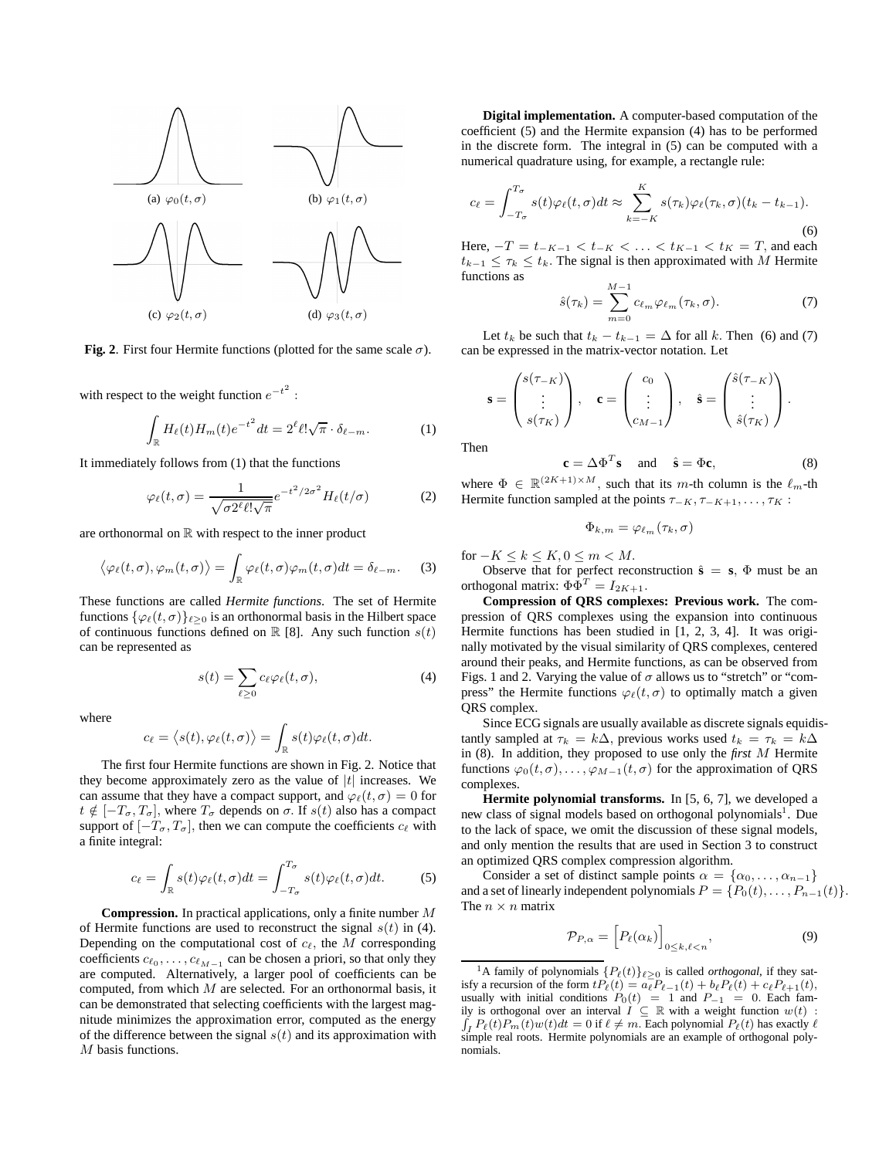

**Fig. 2**. First four Hermite functions (plotted for the same scale  $\sigma$ ).

with respect to the weight function  $e^{-t^2}$ :

$$
\int_{\mathbb{R}} H_{\ell}(t) H_{m}(t) e^{-t^{2}} dt = 2^{\ell} \ell! \sqrt{\pi} \cdot \delta_{\ell - m}.
$$
 (1)

It immediately follows from (1) that the functions

$$
\varphi_{\ell}(t,\sigma) = \frac{1}{\sqrt{\sigma 2^{\ell} \ell! \sqrt{\pi}}} e^{-t^2/2\sigma^2} H_{\ell}(t/\sigma) \tag{2}
$$

are orthonormal on  $\mathbb R$  with respect to the inner product

$$
\langle \varphi_{\ell}(t,\sigma), \varphi_{m}(t,\sigma) \rangle = \int_{\mathbb{R}} \varphi_{\ell}(t,\sigma) \varphi_{m}(t,\sigma) dt = \delta_{\ell-m}.
$$
 (3)

These functions are called *Hermite functions*. The set of Hermite functions  $\{\varphi_{\ell}(t, \sigma)\}_{\ell>0}$  is an orthonormal basis in the Hilbert space of continuous functions defined on  $\mathbb{R}$  [8]. Any such function  $s(t)$ can be represented as

$$
s(t) = \sum_{\ell \ge 0} c_{\ell} \varphi_{\ell}(t, \sigma), \tag{4}
$$

where

$$
c_\ell=\big\langle s(t),\varphi_\ell(t,\sigma)\big\rangle=\int_{\mathbb{R}}s(t)\varphi_\ell(t,\sigma)dt.
$$

The first four Hermite functions are shown in Fig. 2. Notice that they become approximately zero as the value of  $|t|$  increases. We can assume that they have a compact support, and  $\varphi_{\ell}(t, \sigma) = 0$  for  $t \notin [-T_{\sigma}, T_{\sigma}]$ , where  $T_{\sigma}$  depends on  $\sigma$ . If  $s(t)$  also has a compact support of  $[-T_{\sigma}, T_{\sigma}]$ , then we can compute the coefficients  $c_{\ell}$  with a finite integral:

$$
c_{\ell} = \int_{\mathbb{R}} s(t) \varphi_{\ell}(t, \sigma) dt = \int_{-T_{\sigma}}^{T_{\sigma}} s(t) \varphi_{\ell}(t, \sigma) dt.
$$
 (5)

**Compression.** In practical applications, only a finite number M of Hermite functions are used to reconstruct the signal  $s(t)$  in (4). Depending on the computational cost of  $c_{\ell}$ , the M corresponding coefficients  $c_{\ell_0}, \ldots, c_{\ell_{M-1}}$  can be chosen a priori, so that only they are computed. Alternatively, a larger pool of coefficients can be computed, from which  $M$  are selected. For an orthonormal basis, it can be demonstrated that selecting coefficients with the largest magnitude minimizes the approximation error, computed as the energy of the difference between the signal  $s(t)$  and its approximation with M basis functions.

**Digital implementation.** A computer-based computation of the coefficient (5) and the Hermite expansion (4) has to be performed in the discrete form. The integral in (5) can be computed with a numerical quadrature using, for example, a rectangle rule:

$$
c_{\ell} = \int_{-T_{\sigma}}^{T_{\sigma}} s(t)\varphi_{\ell}(t,\sigma)dt \approx \sum_{k=-K}^{K} s(\tau_k)\varphi_{\ell}(\tau_k,\sigma)(t_k - t_{k-1}).
$$
\n(6)

Here,  $-T = t_{-K-1} < t_{-K} < \ldots < t_{K-1} < t_K = T$ , and each  $t_{k-1} \leq \tau_k \leq t_k$ . The signal is then approximated with M Hermite functions as  $\sim$ 

$$
\hat{s}(\tau_k) = \sum_{m=0}^{M-1} c_{\ell_m} \varphi_{\ell_m}(\tau_k, \sigma).
$$
 (7)

Let  $t_k$  be such that  $t_k - t_{k-1} = \Delta$  for all k. Then (6) and (7) can be expressed in the matrix-vector notation. Let

$$
\mathbf{s} = \begin{pmatrix} s(\tau_{-K}) \\ \vdots \\ s(\tau_K) \end{pmatrix}, \quad \mathbf{c} = \begin{pmatrix} c_0 \\ \vdots \\ c_{M-1} \end{pmatrix}, \quad \hat{\mathbf{s}} = \begin{pmatrix} \hat{s}(\tau_{-K}) \\ \vdots \\ \hat{s}(\tau_K) \end{pmatrix}.
$$

Then

$$
\mathbf{c} = \Delta \Phi^T \mathbf{s} \quad \text{and} \quad \hat{\mathbf{s}} = \Phi \mathbf{c}, \tag{8}
$$

where  $\Phi \in \mathbb{R}^{(2K+1)\times M}$ , such that its m-th column is the  $\ell_m$ -th Hermite function sampled at the points  $\tau_{-K}, \tau_{-K+1}, \ldots, \tau_K$ :

$$
\Phi_{k,m}=\varphi_{\ell_m}(\tau_k,\sigma)
$$

for  $-K \leq k \leq K, 0 \leq m < M$ .

Observe that for perfect reconstruction  $\hat{\mathbf{s}} = \mathbf{s}, \Phi$  must be an orthogonal matrix:  $\Phi \overline{\Phi}^T = I_{2K+1}$ .

**Compression of QRS complexes: Previous work.** The compression of QRS complexes using the expansion into continuous Hermite functions has been studied in [1, 2, 3, 4]. It was originally motivated by the visual similarity of QRS complexes, centered around their peaks, and Hermite functions, as can be observed from Figs. 1 and 2. Varying the value of  $\sigma$  allows us to "stretch" or "compress" the Hermite functions  $\varphi_{\ell}(t, \sigma)$  to optimally match a given QRS complex.

Since ECG signals are usually available as discrete signals equidistantly sampled at  $\tau_k = k\Delta$ , previous works used  $t_k = \tau_k = k\Delta$ in (8). In addition, they proposed to use only the *first* M Hermite functions  $\varphi_0(t,\sigma), \ldots, \varphi_{M-1}(t,\sigma)$  for the approximation of QRS complexes.

**Hermite polynomial transforms.** In [5, 6, 7], we developed a new class of signal models based on orthogonal polynomials<sup>1</sup>. Due to the lack of space, we omit the discussion of these signal models, and only mention the results that are used in Section 3 to construct an optimized QRS complex compression algorithm.

Consider a set of distinct sample points  $\alpha = {\alpha_0, \ldots, \alpha_{n-1}}$ and a set of linearly independent polynomials  $P = \{P_0(t), \ldots, P_{n-1}(t)\}.$ The  $n \times n$  matrix

$$
\mathcal{P}_{P,\alpha} = \left[ P_{\ell}(\alpha_k) \right]_{0 \le k,\ell < n},\tag{9}
$$

<sup>&</sup>lt;sup>1</sup>A family of polynomials  $\{P_{\ell}(t)\}_{\ell \geq 0}$  is called *orthogonal*, if they satisfy a recursion of the form  $tP_{\ell}(t) = a_{\ell}P_{\ell-1}(t) + b_{\ell}P_{\ell}(t) + c_{\ell}P_{\ell+1}(t)$ , usually with initial conditions  $P_0(t) = 1$  and  $P_{-1} = 0$ . Each family is orthogonal over an interval  $I \subseteq \mathbb{R}$  with a weight function  $w(t)$ :  $\int_I P_\ell(t) P_m(t) w(t) dt = 0$  if  $\ell \neq m$ . Each polynomial  $P_\ell(t)$  has exactly  $\ell$ simple real roots. Hermite polynomials are an example of orthogonal polynomials.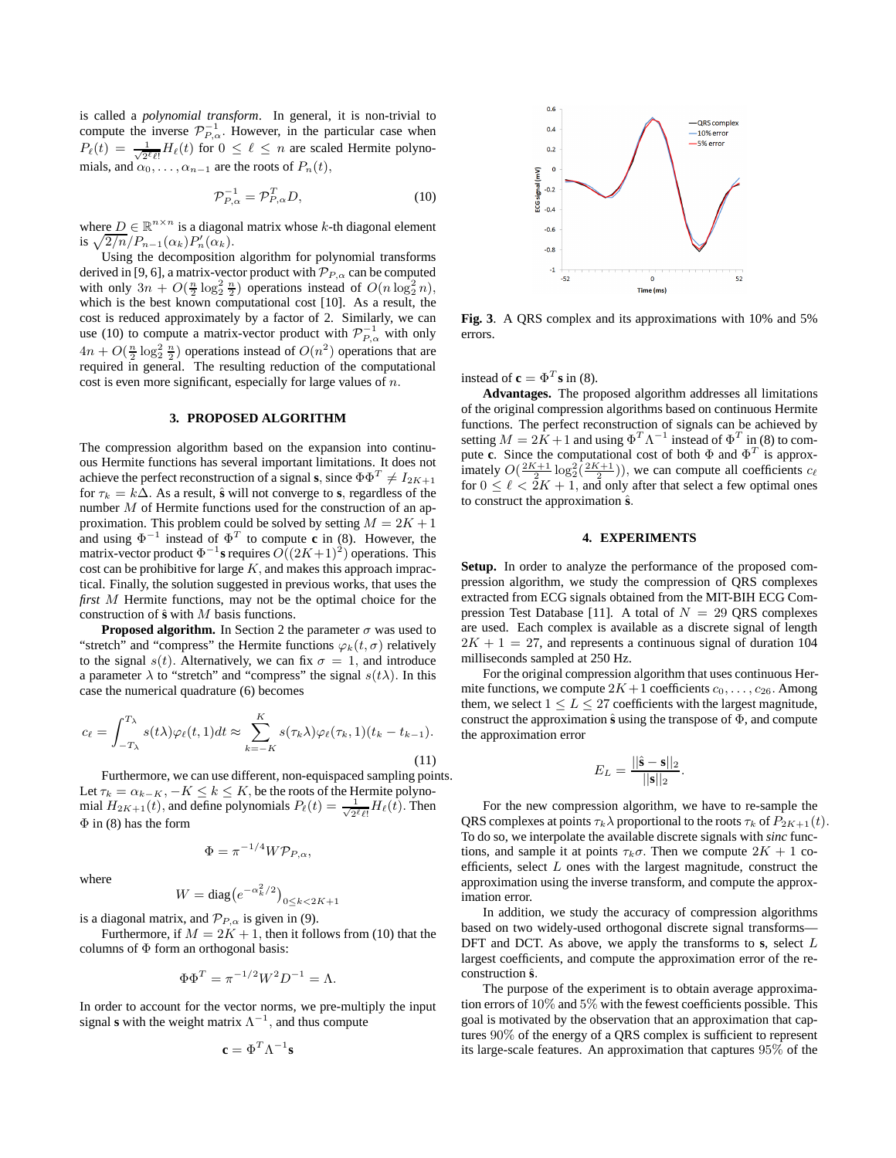is called a *polynomial transform*. In general, it is non-trivial to compute the inverse  $\mathcal{P}_{P,\alpha}^{-1}$ . However, in the particular case when  $P_{\ell}(t) = \frac{1}{\sqrt{2^{\ell} \ell!}} H_{\ell}(t)$  for  $0 \leq \ell \leq n$  are scaled Hermite polynomials, and  $\alpha_0, \ldots, \alpha_{n-1}$  are the roots of  $P_n(t)$ ,

$$
\mathcal{P}_{P,\alpha}^{-1} = \mathcal{P}_{P,\alpha}^{T} D,\tag{10}
$$

where  $D \in \mathbb{R}^{n \times n}$  is a diagonal matrix whose k-th diagonal element is  $\sqrt{2/n}/P_{n-1}(\alpha_k)P'_n(\alpha_k)$ .

Using the decomposition algorithm for polynomial transforms derived in [9, 6], a matrix-vector product with  $\mathcal{P}_{P,\alpha}$  can be computed with only  $3n + O(\frac{n}{2} \log_2^2 \frac{n}{2})$  operations instead of  $O(n \log_2^2 n)$ , which is the best known computational cost [10]. As a result, the cost is reduced approximately by a factor of 2. Similarly, we can use (10) to compute a matrix-vector product with  $\mathcal{P}_{P,\alpha}^{-1}$  with only  $4n + O(\frac{n}{2} \log_2^2 \frac{n}{2})$  operations instead of  $O(n^2)$  operations that are required in general. The resulting reduction of the computational cost is even more significant, especially for large values of  $n$ .

#### **3. PROPOSED ALGORITHM**

The compression algorithm based on the expansion into continuous Hermite functions has several important limitations. It does not achieve the perfect reconstruction of a signal **s**, since  $\Phi \Phi^T \neq I_{2K+1}$ for  $\tau_k = k\Delta$ . As a result,  $\hat{\mathbf{s}}$  will not converge to **s**, regardless of the number M of Hermite functions used for the construction of an approximation. This problem could be solved by setting  $M = 2K + 1$ and using  $\Phi^{-1}$  instead of  $\Phi^{T}$  to compute **c** in (8). However, the matrix-vector product  $\Phi^{-1}$ **s** requires  $O((2K+1)^2)$  operations. This cost can be prohibitive for large  $K$ , and makes this approach impractical. Finally, the solution suggested in previous works, that uses the *first* M Hermite functions, may not be the optimal choice for the construction of  $\hat{\mathbf{s}}$  with M basis functions.

**Proposed algorithm.** In Section 2 the parameter  $\sigma$  was used to "stretch" and "compress" the Hermite functions  $\varphi_k(t, \sigma)$  relatively to the signal  $s(t)$ . Alternatively, we can fix  $\sigma = 1$ , and introduce a parameter  $\lambda$  to "stretch" and "compress" the signal  $s(t\lambda)$ . In this case the numerical quadrature (6) becomes

$$
c_{\ell} = \int_{-T_{\lambda}}^{T_{\lambda}} s(t\lambda)\varphi_{\ell}(t,1)dt \approx \sum_{k=-K}^{K} s(\tau_k\lambda)\varphi_{\ell}(\tau_k,1)(t_k - t_{k-1}).
$$
\n(11)

Furthermore, we can use different, non-equispaced sampling points. Let  $\tau_k = \alpha_{k-K}$ ,  $-K \leq k \leq K$ , be the roots of the Hermite polynomial  $H_{2K+1}(t)$ , and define polynomials  $P_{\ell}(t) = \frac{1}{\sqrt{2^{\ell} \ell!}} H_{\ell}(t)$ . Then  $\Phi$  in (8) has the form

$$
\Phi = \pi^{-1/4} W \mathcal{P}_{P,\alpha},
$$

where

$$
W = \text{diag}\left(e^{-\alpha_k^2/2}\right)_{0 \le k < 2K+1}
$$

is a diagonal matrix, and  $\mathcal{P}_{P,\alpha}$  is given in (9).

Furthermore, if  $M = 2K + 1$ , then it follows from (10) that the columns of  $\Phi$  form an orthogonal basis:

$$
\Phi \Phi^T = \pi^{-1/2} W^2 D^{-1} = \Lambda.
$$

In order to account for the vector norms, we pre-multiply the input signal **s** with the weight matrix  $\Lambda^{-1}$ , and thus compute

$$
\mathbf{c} = \Phi^T \Lambda^{-1} \mathbf{s}
$$



**Fig. 3**. A QRS complex and its approximations with 10% and 5% errors.

instead of **c** =  $\Phi^T$ **s** in (8).

**Advantages.** The proposed algorithm addresses all limitations of the original compression algorithms based on continuous Hermite functions. The perfect reconstruction of signals can be achieved by setting  $M = 2K + 1$  and using  $\Phi^T \Lambda^{-1}$  instead of  $\Phi^T$  in (8) to compute **c**. Since the computational cost of both  $\Phi$  and  $\Phi^T$  is approximately  $O(\frac{2K+1}{2}\log_2^2(\frac{2K+1}{2}))$ , we can compute all coefficients  $c_\ell$ for  $0 \leq \ell < 2K + 1$ , and only after that select a few optimal ones to construct the approximation ˆ**s**.

### **4. EXPERIMENTS**

**Setup.** In order to analyze the performance of the proposed compression algorithm, we study the compression of QRS complexes extracted from ECG signals obtained from the MIT-BIH ECG Compression Test Database [11]. A total of  $N = 29$  QRS complexes are used. Each complex is available as a discrete signal of length  $2K + 1 = 27$ , and represents a continuous signal of duration 104 milliseconds sampled at 250 Hz.

For the original compression algorithm that uses continuous Hermite functions, we compute  $2K + 1$  coefficients  $c_0, \ldots, c_{26}$ . Among them, we select  $1 \leq L \leq 27$  coefficients with the largest magnitude, construct the approximation  $\hat{\mathbf{s}}$  using the transpose of  $\Phi$ , and compute the approximation error

$$
E_L = \frac{||\hat{\mathbf{s}} - \mathbf{s}||_2}{||\mathbf{s}||_2}.
$$

For the new compression algorithm, we have to re-sample the QRS complexes at points  $\tau_k \lambda$  proportional to the roots  $\tau_k$  of  $P_{2K+1}(t)$ . To do so, we interpolate the available discrete signals with *sinc* functions, and sample it at points  $\tau_k \sigma$ . Then we compute  $2K + 1$  coefficients, select  $L$  ones with the largest magnitude, construct the approximation using the inverse transform, and compute the approximation error.

In addition, we study the accuracy of compression algorithms based on two widely-used orthogonal discrete signal transforms— DFT and DCT. As above, we apply the transforms to **s**, select L largest coefficients, and compute the approximation error of the reconstruction ˆ**s**.

The purpose of the experiment is to obtain average approximation errors of 10% and 5% with the fewest coefficients possible. This goal is motivated by the observation that an approximation that captures 90% of the energy of a QRS complex is sufficient to represent its large-scale features. An approximation that captures 95% of the